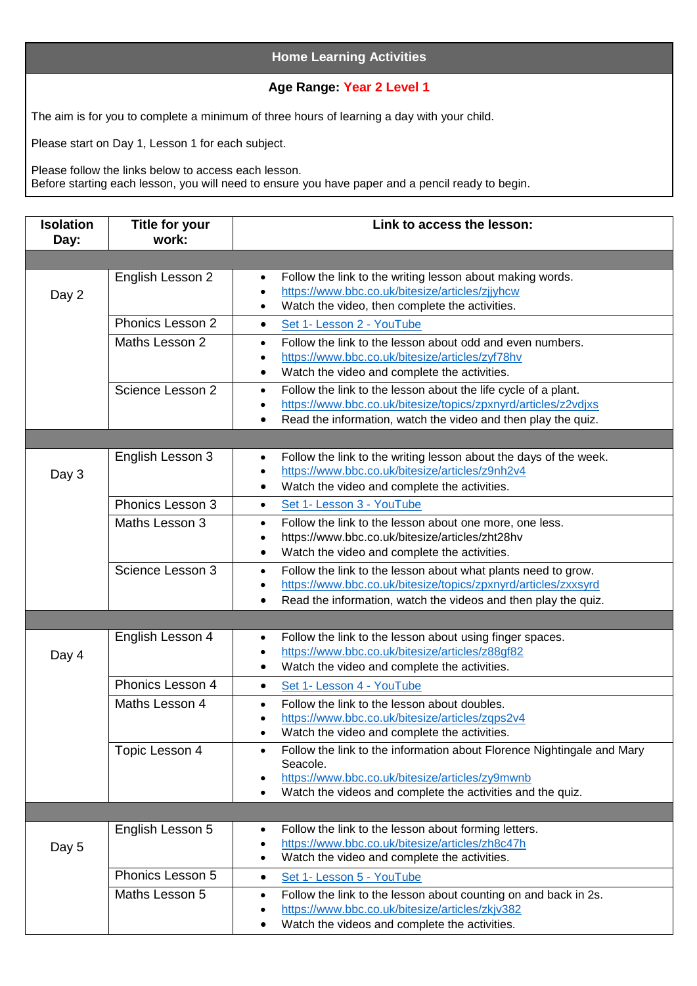## **Home Learning Activities**

## **Age Range: Year 2 Level 1**

The aim is for you to complete a minimum of three hours of learning a day with your child.

Please start on Day 1, Lesson 1 for each subject.

Please follow the links below to access each lesson. Before starting each lesson, you will need to ensure you have paper and a pencil ready to begin.

| <b>Isolation</b><br>Day: | <b>Title for your</b><br>work: | Link to access the lesson:                                                                                                                                                                                                               |
|--------------------------|--------------------------------|------------------------------------------------------------------------------------------------------------------------------------------------------------------------------------------------------------------------------------------|
|                          |                                |                                                                                                                                                                                                                                          |
| Day 2                    | English Lesson 2               | Follow the link to the writing lesson about making words.<br>$\bullet$<br>https://www.bbc.co.uk/bitesize/articles/zjjyhcw<br>$\bullet$<br>Watch the video, then complete the activities.<br>$\bullet$                                    |
|                          | Phonics Lesson 2               | Set 1- Lesson 2 - YouTube<br>$\bullet$                                                                                                                                                                                                   |
|                          | Maths Lesson 2                 | Follow the link to the lesson about odd and even numbers.<br>$\bullet$<br>https://www.bbc.co.uk/bitesize/articles/zyf78hv<br>$\bullet$<br>Watch the video and complete the activities.<br>$\bullet$                                      |
|                          | Science Lesson 2               | Follow the link to the lesson about the life cycle of a plant.<br>$\bullet$<br>https://www.bbc.co.uk/bitesize/topics/zpxnyrd/articles/z2vdjxs<br>$\bullet$<br>Read the information, watch the video and then play the quiz.<br>$\bullet$ |
|                          |                                |                                                                                                                                                                                                                                          |
| Day 3                    | English Lesson 3               | Follow the link to the writing lesson about the days of the week.<br>$\bullet$<br>https://www.bbc.co.uk/bitesize/articles/z9nh2v4<br>Watch the video and complete the activities.                                                        |
|                          | Phonics Lesson 3               | Set 1- Lesson 3 - YouTube<br>$\bullet$                                                                                                                                                                                                   |
|                          | Maths Lesson 3                 | Follow the link to the lesson about one more, one less.<br>$\bullet$<br>https://www.bbc.co.uk/bitesize/articles/zht28hv<br>$\bullet$<br>Watch the video and complete the activities.<br>$\bullet$                                        |
|                          | Science Lesson 3               | Follow the link to the lesson about what plants need to grow.<br>$\bullet$<br>https://www.bbc.co.uk/bitesize/topics/zpxnyrd/articles/zxxsyrd<br>$\bullet$<br>Read the information, watch the videos and then play the quiz.<br>$\bullet$ |
|                          |                                |                                                                                                                                                                                                                                          |
| Day 4                    | English Lesson 4               | Follow the link to the lesson about using finger spaces.<br>$\bullet$<br>https://www.bbc.co.uk/bitesize/articles/z88gf82<br>$\bullet$<br>Watch the video and complete the activities.<br>$\bullet$                                       |
|                          | Phonics Lesson 4               | Set 1- Lesson 4 - YouTube<br>$\bullet$                                                                                                                                                                                                   |
|                          | Maths Lesson 4                 | Follow the link to the lesson about doubles.<br>$\bullet$<br>https://www.bbc.co.uk/bitesize/articles/zqps2v4<br>Watch the video and complete the activities.                                                                             |
|                          | Topic Lesson 4                 | Follow the link to the information about Florence Nightingale and Mary<br>$\bullet$<br>Seacole.<br>https://www.bbc.co.uk/bitesize/articles/zy9mwnb<br>Watch the videos and complete the activities and the quiz.                         |
|                          |                                |                                                                                                                                                                                                                                          |
| Day 5                    | English Lesson 5               | Follow the link to the lesson about forming letters.<br>$\bullet$<br>https://www.bbc.co.uk/bitesize/articles/zh8c47h<br>٠<br>Watch the video and complete the activities.                                                                |
|                          | Phonics Lesson 5               | Set 1- Lesson 5 - YouTube<br>$\bullet$                                                                                                                                                                                                   |
|                          | Maths Lesson 5                 | Follow the link to the lesson about counting on and back in 2s.<br>$\bullet$<br>https://www.bbc.co.uk/bitesize/articles/zkjv382<br>٠<br>Watch the videos and complete the activities.                                                    |